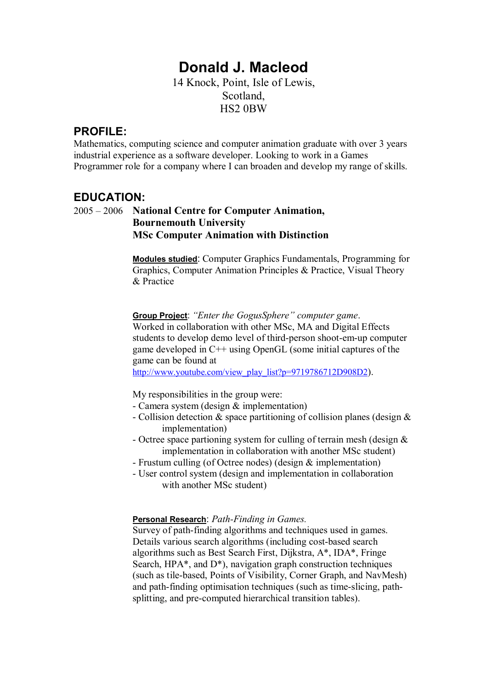# **Donald J. Macleod**

14 Knock, Point, Isle of Lewis, Scotland, HS2 0BW

#### **PROFILE:**

Mathematics, computing science and computer animation graduate with over 3 years industrial experience as a software developer. Looking to work in a Games Programmer role for a company where I can broaden and develop my range of skills.

#### **EDUCATION:**

#### 2005 ñ 2006 **National Centre for Computer Animation, Bournemouth University MSc Computer Animation with Distinction**

**Modules studied**: Computer Graphics Fundamentals, Programming for Graphics, Computer Animation Principles & Practice, Visual Theory & Practice

**Group Project:** "Enter the GogusSphere" computer game. Worked in collaboration with other MSc, MA and Digital Effects students to develop demo level of third-person shoot-em-up computer game developed in C++ using OpenGL (some initial captures of the game can be found at http://www.youtube.com/view\_play\_list?p=9719786712D908D2).

My responsibilities in the group were:

- Camera system (design & implementation)
- Collision detection & space partitioning of collision planes (design & implementation)
- Octree space partioning system for culling of terrain mesh (design & implementation in collaboration with another MSc student)
- Frustum culling (of Octree nodes) (design & implementation)
- User control system (design and implementation in collaboration with another MSc student)

#### **Personal Research**: *Path-Finding in Games.*

Survey of path-finding algorithms and techniques used in games. Details various search algorithms (including cost-based search algorithms such as Best Search First, Dijkstra, A\*, IDA\*, Fringe Search, HPA\*, and D\*), navigation graph construction techniques (such as tile-based, Points of Visibility, Corner Graph, and NavMesh) and path-finding optimisation techniques (such as time-slicing, pathsplitting, and pre-computed hierarchical transition tables).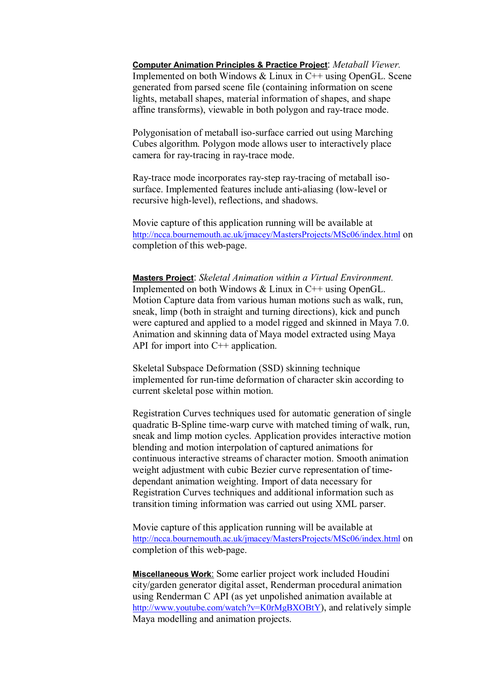**Computer Animation Principles & Practice Project**: *Metaball Viewer.*  Implemented on both Windows & Linux in C++ using OpenGL. Scene generated from parsed scene file (containing information on scene lights, metaball shapes, material information of shapes, and shape affine transforms), viewable in both polygon and ray-trace mode.

Polygonisation of metaball iso-surface carried out using Marching Cubes algorithm. Polygon mode allows user to interactively place camera for ray-tracing in ray-trace mode.

Ray-trace mode incorporates ray-step ray-tracing of metaball isosurface. Implemented features include anti-aliasing (low-level or recursive high-level), reflections, and shadows.

Movie capture of this application running will be available at http://ncca.bournemouth.ac.uk/jmacey/MastersProjects/MSc06/index.html on completion of this web-page.

**Masters Project**: *Skeletal Animation within a Virtual Environment.*  Implemented on both Windows & Linux in C++ using OpenGL. Motion Capture data from various human motions such as walk, run, sneak, limp (both in straight and turning directions), kick and punch were captured and applied to a model rigged and skinned in Maya 7.0. Animation and skinning data of Maya model extracted using Maya API for import into C<sup>++</sup> application.

Skeletal Subspace Deformation (SSD) skinning technique implemented for run-time deformation of character skin according to current skeletal pose within motion.

Registration Curves techniques used for automatic generation of single quadratic B-Spline time-warp curve with matched timing of walk, run, sneak and limp motion cycles. Application provides interactive motion blending and motion interpolation of captured animations for continuous interactive streams of character motion. Smooth animation weight adjustment with cubic Bezier curve representation of timedependant animation weighting. Import of data necessary for Registration Curves techniques and additional information such as transition timing information was carried out using XML parser.

Movie capture of this application running will be available at http://ncca.bournemouth.ac.uk/jmacey/MastersProjects/MSc06/index.html on completion of this web-page.

**Miscellaneous Work**: Some earlier project work included Houdini city/garden generator digital asset, Renderman procedural animation using Renderman C API (as yet unpolished animation available at http://www.youtube.com/watch?v=K0rMgBXOBtY), and relatively simple Maya modelling and animation projects.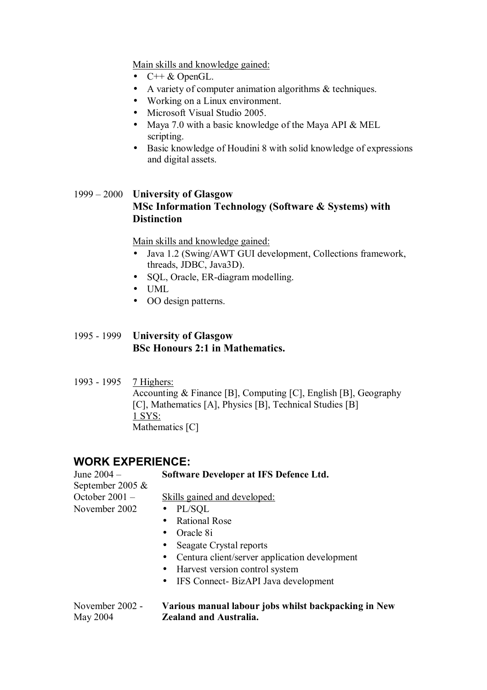Main skills and knowledge gained:

- $\bullet$  C++ & OpenGL.
- A variety of computer animation algorithms & techniques.
- Working on a Linux environment.
- Microsoft Visual Studio 2005.
- Maya 7.0 with a basic knowledge of the Maya API & MEL scripting.
- Basic knowledge of Houdini 8 with solid knowledge of expressions and digital assets.

#### 1999 ñ 2000 **University of Glasgow MSc Information Technology (Software & Systems) with Distinction**

Main skills and knowledge gained:

- Java 1.2 (Swing/AWT GUI development, Collections framework, threads, JDBC, Java3D).
- SQL, Oracle, ER-diagram modelling.
- UML
- OO design patterns.

#### 1995 - 1999 **University of Glasgow BSc Honours 2:1 in Mathematics.**

1993 - 1995 7 Highers: Accounting & Finance [B], Computing [C], English [B], Geography [C], Mathematics [A], Physics [B], Technical Studies [B] 1 SYS: Mathematics [C]

#### **WORK EXPERIENCE:**

| June 2004 -      | Software Developer at IFS Defence Ltd.            |  |  |
|------------------|---------------------------------------------------|--|--|
| September 2005 & |                                                   |  |  |
| October 2001-    | Skills gained and developed:                      |  |  |
| November 2002    | $\n  PL/SQL\n$                                    |  |  |
|                  | <b>Rational Rose</b>                              |  |  |
|                  | Oracle 8i                                         |  |  |
|                  | Seagate Crystal reports<br>$\bullet$              |  |  |
|                  | • Centura client/server application development   |  |  |
|                  | • Harvest version control system                  |  |  |
|                  | IFS Connect- BizAPI Java development<br>$\bullet$ |  |  |
|                  |                                                   |  |  |

#### November 2002 - **Various manual labour jobs whilst backpacking in New**  May 2004 **Zealand and Australia.**